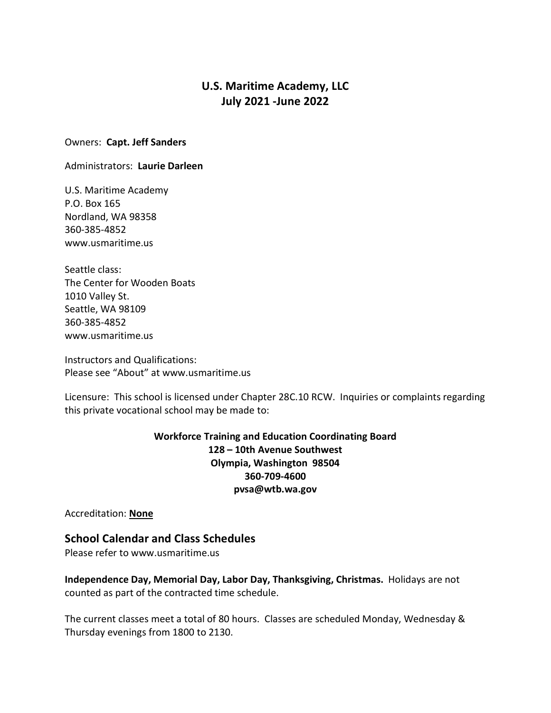# **U.S. Maritime Academy, LLC July 2021 -June 2022**

#### Owners: **Capt. Jeff Sanders**

Administrators: **Laurie Darleen**

U.S. Maritime Academy P.O. Box 165 Nordland, WA 98358 360-385-4852 www.usmaritime.us

Seattle class: The Center for Wooden Boats 1010 Valley St. Seattle, WA 98109 360-385-4852 www.usmaritime.us

Instructors and Qualifications: Please see "About" at www.usmaritime.us

Licensure: This school is licensed under Chapter 28C.10 RCW. Inquiries or complaints regarding this private vocational school may be made to:

> **Workforce Training and Education Coordinating Board 128 – 10th Avenue Southwest Olympia, Washington 98504 360-709-4600 pvsa@wtb.wa.gov**

Accreditation: **None**

# **School Calendar and Class Schedules**

Please refer to www.usmaritime.us

**Independence Day, Memorial Day, Labor Day, Thanksgiving, Christmas.** Holidays are not counted as part of the contracted time schedule.

The current classes meet a total of 80 hours. Classes are scheduled Monday, Wednesday & Thursday evenings from 1800 to 2130.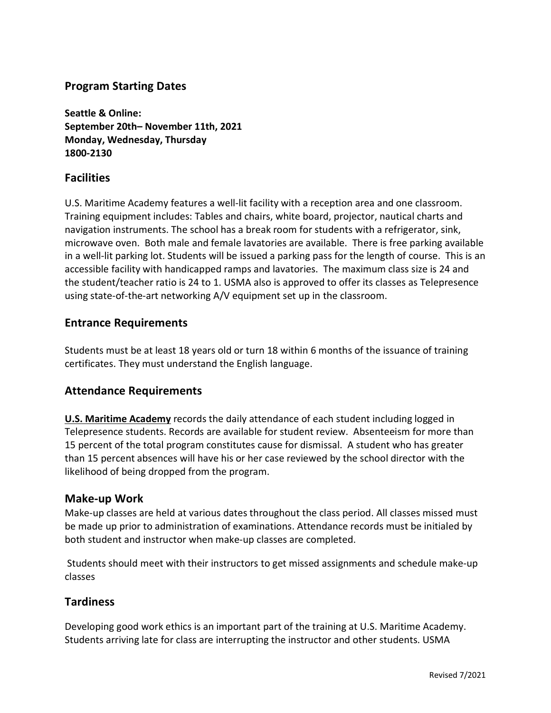# **Program Starting Dates**

**Seattle & Online: September 20th– November 11th, 2021 Monday, Wednesday, Thursday 1800-2130**

#### **Facilities**

U.S. Maritime Academy features a well-lit facility with a reception area and one classroom. Training equipment includes: Tables and chairs, white board, projector, nautical charts and navigation instruments. The school has a break room for students with a refrigerator, sink, microwave oven. Both male and female lavatories are available. There is free parking available in a well-lit parking lot. Students will be issued a parking pass for the length of course. This is an accessible facility with handicapped ramps and lavatories. The maximum class size is 24 and the student/teacher ratio is 24 to 1. USMA also is approved to offer its classes as Telepresence using state-of-the-art networking A/V equipment set up in the classroom.

## **Entrance Requirements**

Students must be at least 18 years old or turn 18 within 6 months of the issuance of training certificates. They must understand the English language.

## **Attendance Requirements**

**U.S. Maritime Academy** records the daily attendance of each student including logged in Telepresence students. Records are available for student review. Absenteeism for more than 15 percent of the total program constitutes cause for dismissal. A student who has greater than 15 percent absences will have his or her case reviewed by the school director with the likelihood of being dropped from the program.

#### **Make-up Work**

Make-up classes are held at various dates throughout the class period. All classes missed must be made up prior to administration of examinations. Attendance records must be initialed by both student and instructor when make-up classes are completed.

Students should meet with their instructors to get missed assignments and schedule make-up classes

## **Tardiness**

Developing good work ethics is an important part of the training at U.S. Maritime Academy. Students arriving late for class are interrupting the instructor and other students. USMA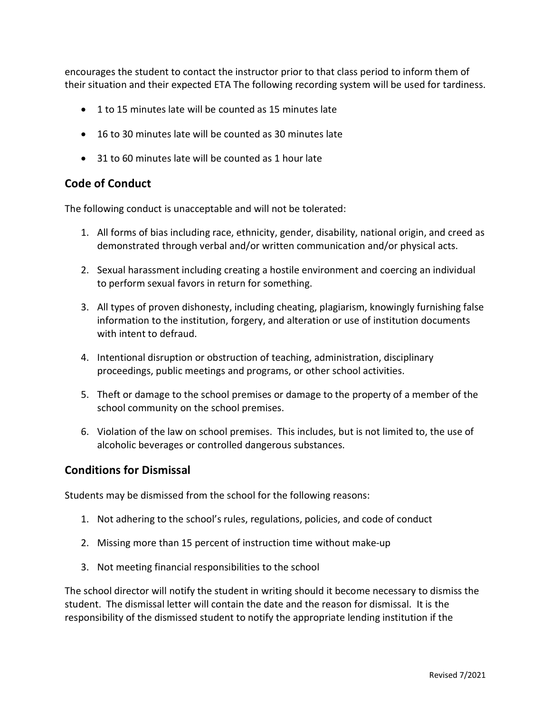encourages the student to contact the instructor prior to that class period to inform them of their situation and their expected ETA The following recording system will be used for tardiness.

- 1 to 15 minutes late will be counted as 15 minutes late
- 16 to 30 minutes late will be counted as 30 minutes late
- 31 to 60 minutes late will be counted as 1 hour late

## **Code of Conduct**

The following conduct is unacceptable and will not be tolerated:

- 1. All forms of bias including race, ethnicity, gender, disability, national origin, and creed as demonstrated through verbal and/or written communication and/or physical acts.
- 2. Sexual harassment including creating a hostile environment and coercing an individual to perform sexual favors in return for something.
- 3. All types of proven dishonesty, including cheating, plagiarism, knowingly furnishing false information to the institution, forgery, and alteration or use of institution documents with intent to defraud.
- 4. Intentional disruption or obstruction of teaching, administration, disciplinary proceedings, public meetings and programs, or other school activities.
- 5. Theft or damage to the school premises or damage to the property of a member of the school community on the school premises.
- 6. Violation of the law on school premises. This includes, but is not limited to, the use of alcoholic beverages or controlled dangerous substances.

## **Conditions for Dismissal**

Students may be dismissed from the school for the following reasons:

- 1. Not adhering to the school's rules, regulations, policies, and code of conduct
- 2. Missing more than 15 percent of instruction time without make-up
- 3. Not meeting financial responsibilities to the school

The school director will notify the student in writing should it become necessary to dismiss the student. The dismissal letter will contain the date and the reason for dismissal. It is the responsibility of the dismissed student to notify the appropriate lending institution if the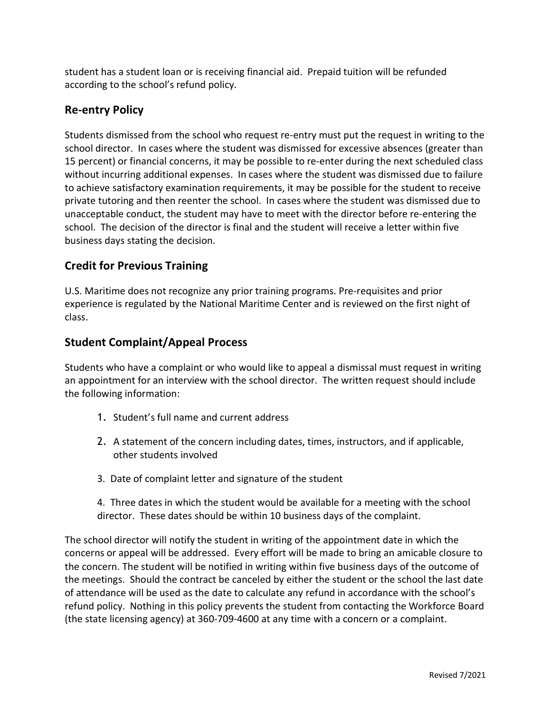student has a student loan or is receiving financial aid. Prepaid tuition will be refunded according to the school's refund policy.

# **Re-entry Policy**

Students dismissed from the school who request re-entry must put the request in writing to the school director. In cases where the student was dismissed for excessive absences (greater than 15 percent) or financial concerns, it may be possible to re-enter during the next scheduled class without incurring additional expenses. In cases where the student was dismissed due to failure to achieve satisfactory examination requirements, it may be possible for the student to receive private tutoring and then reenter the school. In cases where the student was dismissed due to unacceptable conduct, the student may have to meet with the director before re-entering the school. The decision of the director is final and the student will receive a letter within five business days stating the decision.

# **Credit for Previous Training**

U.S. Maritime does not recognize any prior training programs. Pre-requisites and prior experience is regulated by the National Maritime Center and is reviewed on the first night of class.

# **Student Complaint/Appeal Process**

Students who have a complaint or who would like to appeal a dismissal must request in writing an appointment for an interview with the school director. The written request should include the following information:

- 1. Student's full name and current address
- 2. A statement of the concern including dates, times, instructors, and if applicable, other students involved
- 3. Date of complaint letter and signature of the student
- 4. Three dates in which the student would be available for a meeting with the school director. These dates should be within 10 business days of the complaint.

The school director will notify the student in writing of the appointment date in which the concerns or appeal will be addressed. Every effort will be made to bring an amicable closure to the concern. The student will be notified in writing within five business days of the outcome of the meetings. Should the contract be canceled by either the student or the school the last date of attendance will be used as the date to calculate any refund in accordance with the school's refund policy. Nothing in this policy prevents the student from contacting the Workforce Board (the state licensing agency) at 360-709-4600 at any time with a concern or a complaint.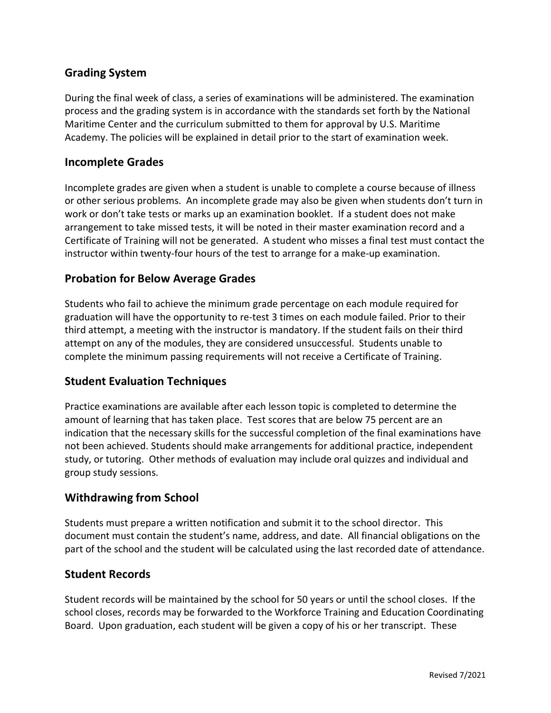# **Grading System**

During the final week of class, a series of examinations will be administered. The examination process and the grading system is in accordance with the standards set forth by the National Maritime Center and the curriculum submitted to them for approval by U.S. Maritime Academy. The policies will be explained in detail prior to the start of examination week.

# **Incomplete Grades**

Incomplete grades are given when a student is unable to complete a course because of illness or other serious problems. An incomplete grade may also be given when students don't turn in work or don't take tests or marks up an examination booklet. If a student does not make arrangement to take missed tests, it will be noted in their master examination record and a Certificate of Training will not be generated. A student who misses a final test must contact the instructor within twenty-four hours of the test to arrange for a make-up examination.

# **Probation for Below Average Grades**

Students who fail to achieve the minimum grade percentage on each module required for graduation will have the opportunity to re-test 3 times on each module failed. Prior to their third attempt, a meeting with the instructor is mandatory. If the student fails on their third attempt on any of the modules, they are considered unsuccessful. Students unable to complete the minimum passing requirements will not receive a Certificate of Training.

## **Student Evaluation Techniques**

Practice examinations are available after each lesson topic is completed to determine the amount of learning that has taken place. Test scores that are below 75 percent are an indication that the necessary skills for the successful completion of the final examinations have not been achieved. Students should make arrangements for additional practice, independent study, or tutoring. Other methods of evaluation may include oral quizzes and individual and group study sessions.

## **Withdrawing from School**

Students must prepare a written notification and submit it to the school director. This document must contain the student's name, address, and date. All financial obligations on the part of the school and the student will be calculated using the last recorded date of attendance.

## **Student Records**

Student records will be maintained by the school for 50 years or until the school closes. If the school closes, records may be forwarded to the Workforce Training and Education Coordinating Board. Upon graduation, each student will be given a copy of his or her transcript. These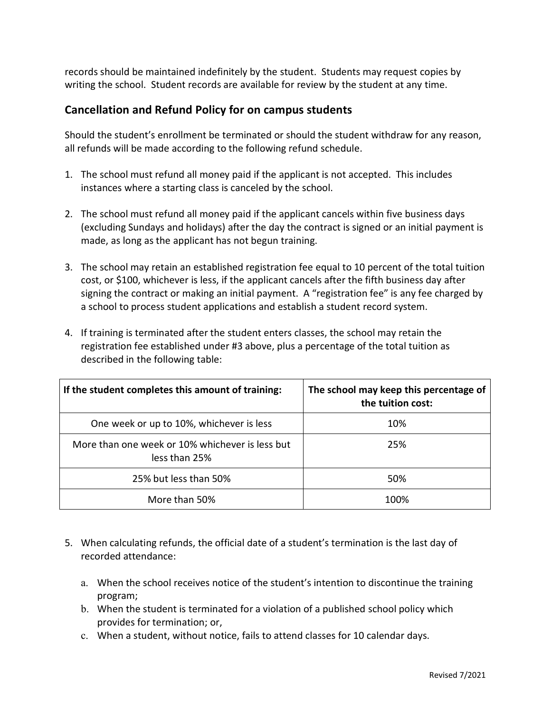records should be maintained indefinitely by the student. Students may request copies by writing the school. Student records are available for review by the student at any time.

# **Cancellation and Refund Policy for on campus students**

Should the student's enrollment be terminated or should the student withdraw for any reason, all refunds will be made according to the following refund schedule.

- 1. The school must refund all money paid if the applicant is not accepted. This includes instances where a starting class is canceled by the school.
- 2. The school must refund all money paid if the applicant cancels within five business days (excluding Sundays and holidays) after the day the contract is signed or an initial payment is made, as long as the applicant has not begun training.
- 3. The school may retain an established registration fee equal to 10 percent of the total tuition cost, or \$100, whichever is less, if the applicant cancels after the fifth business day after signing the contract or making an initial payment. A "registration fee" is any fee charged by a school to process student applications and establish a student record system.
- 4. If training is terminated after the student enters classes, the school may retain the registration fee established under #3 above, plus a percentage of the total tuition as described in the following table:

| If the student completes this amount of training:                | The school may keep this percentage of<br>the tuition cost: |
|------------------------------------------------------------------|-------------------------------------------------------------|
| One week or up to 10%, whichever is less                         | 10%                                                         |
| More than one week or 10% whichever is less but<br>less than 25% | 25%                                                         |
| 25% but less than 50%                                            | 50%                                                         |
| More than 50%                                                    | 1በበ%                                                        |

- 5. When calculating refunds, the official date of a student's termination is the last day of recorded attendance:
	- a. When the school receives notice of the student's intention to discontinue the training program;
	- b. When the student is terminated for a violation of a published school policy which provides for termination; or,
	- c. When a student, without notice, fails to attend classes for 10 calendar days.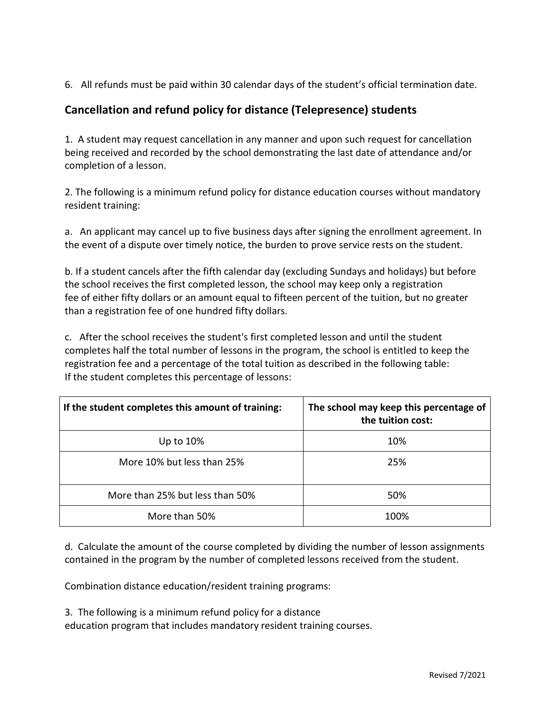6. All refunds must be paid within 30 calendar days of the student's official termination date.

# **Cancellation and refund policy for distance (Telepresence) students**

1. A student may request cancellation in any manner and upon such request for cancellation being received and recorded by the school demonstrating the last date of attendance and/or completion of a lesson.

2. The following is a minimum refund policy for distance education courses without mandatory resident training:

a. An applicant may cancel up to five business days after signing the enrollment agreement. In the event of a dispute over timely notice, the burden to prove service rests on the student.

b. If a student cancels after the fifth calendar day (excluding Sundays and holidays) but before the school receives the first completed lesson, the school may keep only a registration fee of either fifty dollars or an amount equal to fifteen percent of the tuition, but no greater than a registration fee of one hundred fifty dollars.

c. After the school receives the student's first completed lesson and until the student completes half the total number of lessons in the program, the school is entitled to keep the registration fee and a percentage of the total tuition as described in the following table: If the student completes this percentage of lessons:

| If the student completes this amount of training: | The school may keep this percentage of<br>the tuition cost: |
|---------------------------------------------------|-------------------------------------------------------------|
| Up to 10%                                         | 10%                                                         |
| More 10% but less than 25%                        | 25%                                                         |
| More than 25% but less than 50%                   | 50%                                                         |
| More than 50%                                     | 100%                                                        |

d. Calculate the amount of the course completed by dividing the number of lesson assignments contained in the program by the number of completed lessons received from the student.

Combination distance education/resident training programs:

3. The following is a minimum refund policy for a distance

education program that includes mandatory resident training courses.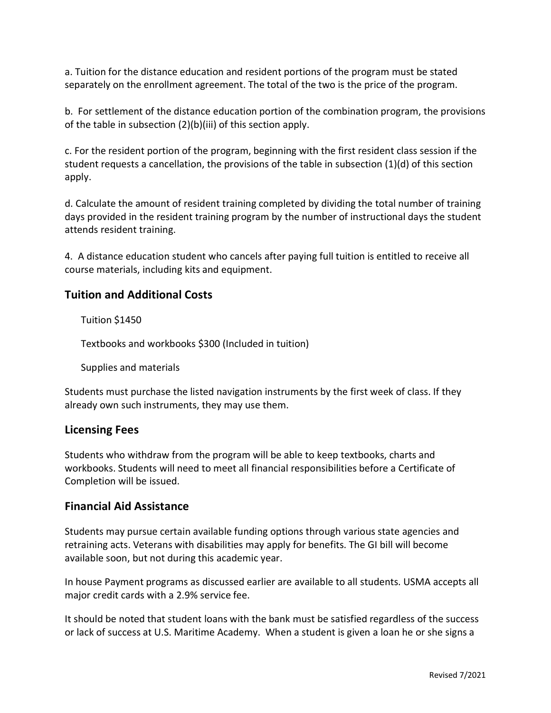a. Tuition for the distance education and resident portions of the program must be stated separately on the enrollment agreement. The total of the two is the price of the program.

b. For settlement of the distance education portion of the combination program, the provisions of the table in subsection (2)(b)(iii) of this section apply.

c. For the resident portion of the program, beginning with the first resident class session if the student requests a cancellation, the provisions of the table in subsection (1)(d) of this section apply.

d. Calculate the amount of resident training completed by dividing the total number of training days provided in the resident training program by the number of instructional days the student attends resident training.

4. A distance education student who cancels after paying full tuition is entitled to receive all course materials, including kits and equipment.

# **Tuition and Additional Costs**

Tuition \$1450

Textbooks and workbooks \$300 (Included in tuition)

Supplies and materials

Students must purchase the listed navigation instruments by the first week of class. If they already own such instruments, they may use them.

#### **Licensing Fees**

Students who withdraw from the program will be able to keep textbooks, charts and workbooks. Students will need to meet all financial responsibilities before a Certificate of Completion will be issued.

#### **Financial Aid Assistance**

Students may pursue certain available funding options through various state agencies and retraining acts. Veterans with disabilities may apply for benefits. The GI bill will become available soon, but not during this academic year.

In house Payment programs as discussed earlier are available to all students. USMA accepts all major credit cards with a 2.9% service fee.

It should be noted that student loans with the bank must be satisfied regardless of the success or lack of success at U.S. Maritime Academy. When a student is given a loan he or she signs a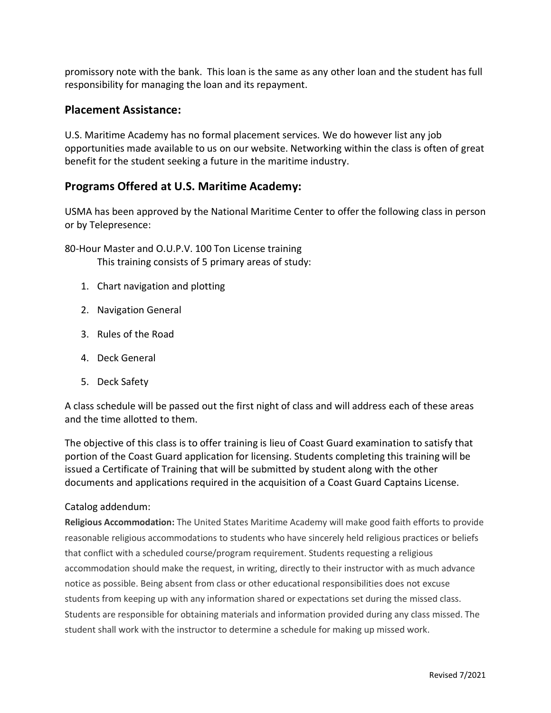promissory note with the bank. This loan is the same as any other loan and the student has full responsibility for managing the loan and its repayment.

#### **Placement Assistance:**

U.S. Maritime Academy has no formal placement services. We do however list any job opportunities made available to us on our website. Networking within the class is often of great benefit for the student seeking a future in the maritime industry.

## **Programs Offered at U.S. Maritime Academy:**

USMA has been approved by the National Maritime Center to offer the following class in person or by Telepresence:

80-Hour Master and O.U.P.V. 100 Ton License training This training consists of 5 primary areas of study:

- 1. Chart navigation and plotting
- 2. Navigation General
- 3. Rules of the Road
- 4. Deck General
- 5. Deck Safety

A class schedule will be passed out the first night of class and will address each of these areas and the time allotted to them.

The objective of this class is to offer training is lieu of Coast Guard examination to satisfy that portion of the Coast Guard application for licensing. Students completing this training will be issued a Certificate of Training that will be submitted by student along with the other documents and applications required in the acquisition of a Coast Guard Captains License.

#### Catalog addendum:

**Religious Accommodation:** The United States Maritime Academy will make good faith efforts to provide reasonable religious accommodations to students who have sincerely held religious practices or beliefs that conflict with a scheduled course/program requirement. Students requesting a religious accommodation should make the request, in writing, directly to their instructor with as much advance notice as possible. Being absent from class or other educational responsibilities does not excuse students from keeping up with any information shared or expectations set during the missed class. Students are responsible for obtaining materials and information provided during any class missed. The student shall work with the instructor to determine a schedule for making up missed work.